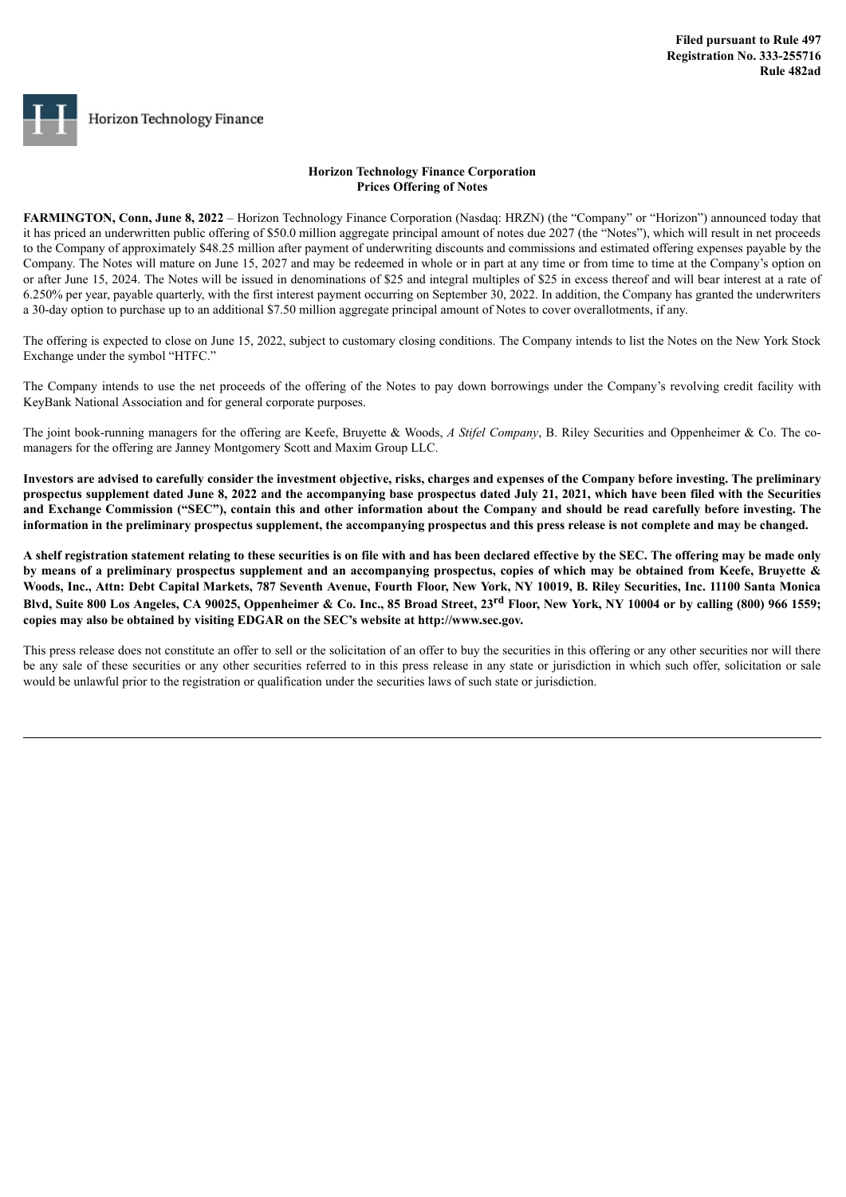# Horizon Technology Finance

## **Horizon Technology Finance Corporation Prices Offering of Notes**

**FARMINGTON, Conn, June 8, 2022** – Horizon Technology Finance Corporation (Nasdaq: HRZN) (the "Company" or "Horizon") announced today that it has priced an underwritten public offering of \$50.0 million aggregate principal amount of notes due 2027 (the "Notes"), which will result in net proceeds to the Company of approximately \$48.25 million after payment of underwriting discounts and commissions and estimated offering expenses payable by the Company. The Notes will mature on June 15, 2027 and may be redeemed in whole or in part at any time or from time to time at the Company's option on or after June 15, 2024. The Notes will be issued in denominations of \$25 and integral multiples of \$25 in excess thereof and will bear interest at a rate of 6.250% per year, payable quarterly, with the first interest payment occurring on September 30, 2022. In addition, the Company has granted the underwriters a 30-day option to purchase up to an additional \$7.50 million aggregate principal amount of Notes to cover overallotments, if any.

The offering is expected to close on June 15, 2022, subject to customary closing conditions. The Company intends to list the Notes on the New York Stock Exchange under the symbol "HTFC."

The Company intends to use the net proceeds of the offering of the Notes to pay down borrowings under the Company's revolving credit facility with KeyBank National Association and for general corporate purposes.

The joint book-running managers for the offering are Keefe, Bruyette & Woods, *A Stifel Company*, B. Riley Securities and Oppenheimer & Co. The comanagers for the offering are Janney Montgomery Scott and Maxim Group LLC.

Investors are advised to carefully consider the investment objective, risks, charges and expenses of the Company before investing. The preliminary prospectus supplement dated June 8, 2022 and the accompanying base prospectus dated July 21, 2021, which have been filed with the Securities and Exchange Commission ("SEC"), contain this and other information about the Company and should be read carefully before investing. The information in the preliminary prospectus supplement, the accompanying prospectus and this press release is not complete and may be changed.

A shelf registration statement relating to these securities is on file with and has been declared effective by the SEC. The offering may be made only by means of a preliminary prospectus supplement and an accompanying prospectus, copies of which may be obtained from Keefe, Bruyette & Woods, Inc., Attn: Debt Capital Markets, 787 Seventh Avenue, Fourth Floor, New York, NY 10019, B. Riley Securities, Inc. 11100 Santa Monica Blvd, Suite 800 Los Angeles, CA 90025, Oppenheimer & Co. Inc., 85 Broad Street, 23<sup>rd</sup> Floor, New York, NY 10004 or by calling (800) 966 1559; **copies may also be obtained by visiting EDGAR on the SEC's website at http://www.sec.gov.**

This press release does not constitute an offer to sell or the solicitation of an offer to buy the securities in this offering or any other securities nor will there be any sale of these securities or any other securities referred to in this press release in any state or jurisdiction in which such offer, solicitation or sale would be unlawful prior to the registration or qualification under the securities laws of such state or jurisdiction.